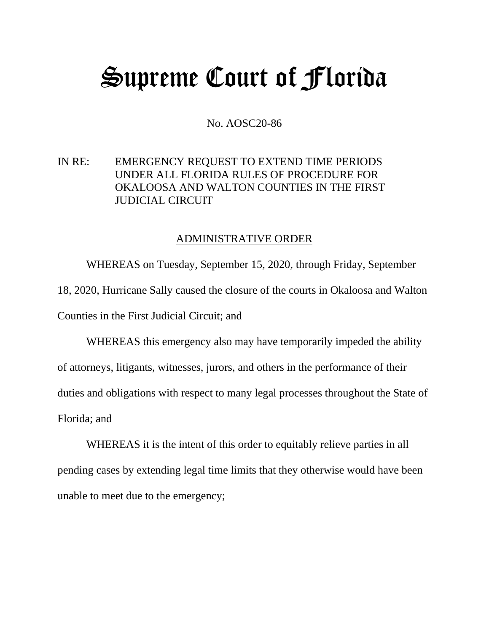## Supreme Court of Florida

No. AOSC20-86

IN RE: EMERGENCY REQUEST TO EXTEND TIME PERIODS UNDER ALL FLORIDA RULES OF PROCEDURE FOR OKALOOSA AND WALTON COUNTIES IN THE FIRST JUDICIAL CIRCUIT

## ADMINISTRATIVE ORDER

WHEREAS on Tuesday, September 15, 2020, through Friday, September 18, 2020, Hurricane Sally caused the closure of the courts in Okaloosa and Walton Counties in the First Judicial Circuit; and

WHEREAS this emergency also may have temporarily impeded the ability of attorneys, litigants, witnesses, jurors, and others in the performance of their duties and obligations with respect to many legal processes throughout the State of Florida; and

WHEREAS it is the intent of this order to equitably relieve parties in all pending cases by extending legal time limits that they otherwise would have been unable to meet due to the emergency;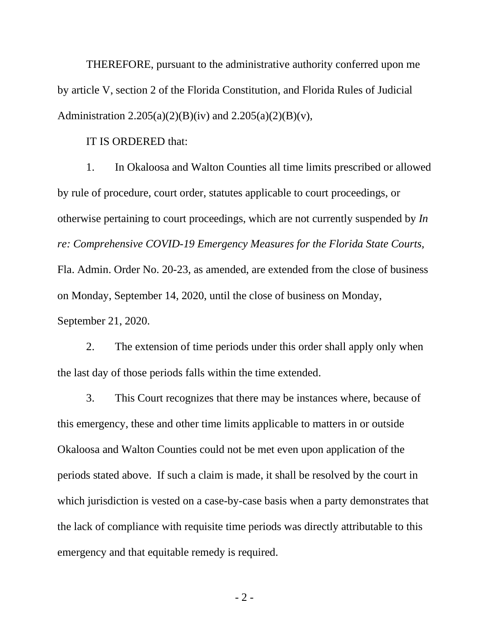THEREFORE, pursuant to the administrative authority conferred upon me by article V, section 2 of the Florida Constitution, and Florida Rules of Judicial Administration  $2.205(a)(2)(B)(iv)$  and  $2.205(a)(2)(B)(v)$ ,

IT IS ORDERED that:

1. In Okaloosa and Walton Counties all time limits prescribed or allowed by rule of procedure, court order, statutes applicable to court proceedings, or otherwise pertaining to court proceedings, which are not currently suspended by *In re: Comprehensive COVID-19 Emergency Measures for the Florida State Courts,* Fla. Admin. Order No. 20-23, as amended, are extended from the close of business on Monday, September 14, 2020, until the close of business on Monday, September 21, 2020.

2. The extension of time periods under this order shall apply only when the last day of those periods falls within the time extended.

3. This Court recognizes that there may be instances where, because of this emergency, these and other time limits applicable to matters in or outside Okaloosa and Walton Counties could not be met even upon application of the periods stated above. If such a claim is made, it shall be resolved by the court in which jurisdiction is vested on a case-by-case basis when a party demonstrates that the lack of compliance with requisite time periods was directly attributable to this emergency and that equitable remedy is required.